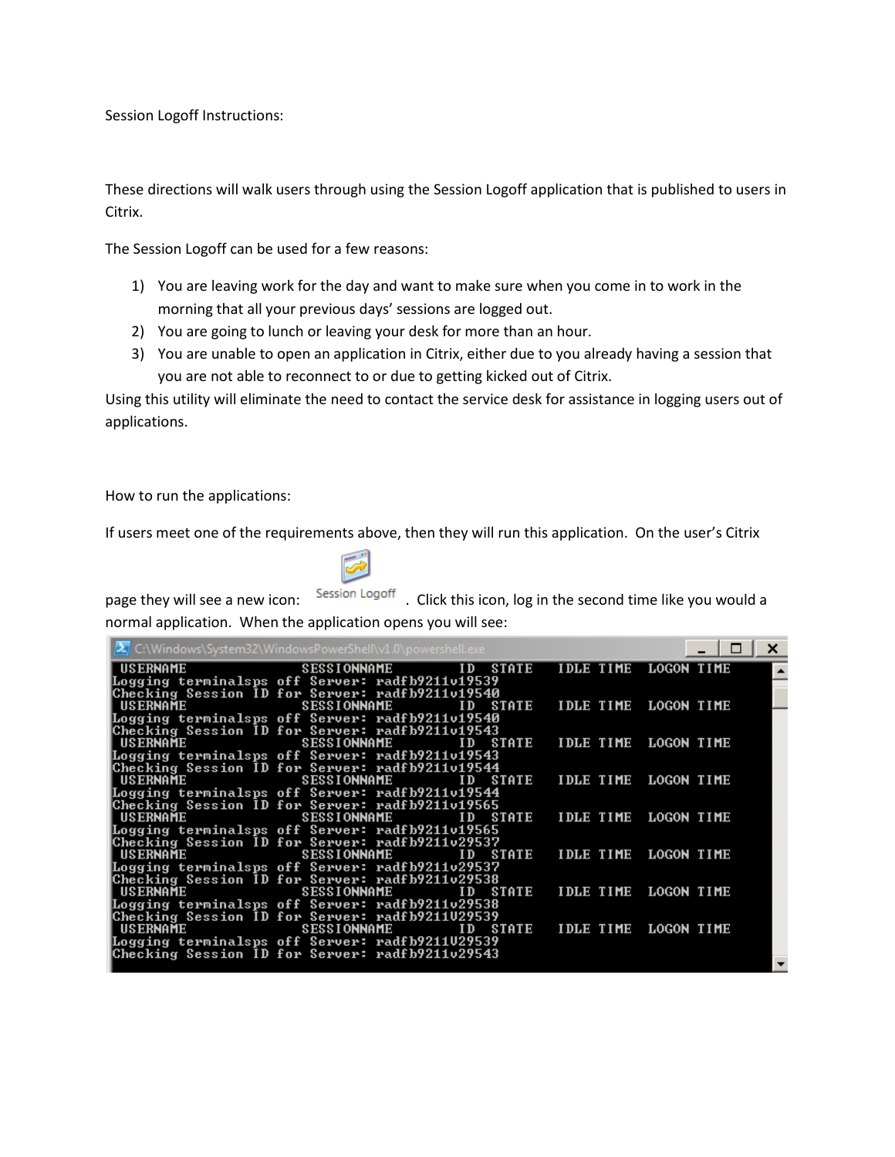Session Logoff Instructions:

These directions will walk users through using the Session Logoff application that is published to users in Citrix.

The Session Logoff can be used for a few reasons:

- 1) You are leaving work for the day and want to make sure when you come in to work in the morning that all your previous days' sessions are logged out.
- 2) You are going to lunch or leaving your desk for more than an hour.
- 3) You are unable to open an application in Citrix, either due to you already having a session that you are not able to reconnect to or due to getting kicked out of Citrix.

Using this utility will eliminate the need to contact the service desk for assistance in logging users out of applications.

How to run the applications:

If users meet one of the requirements above, then they will run this application. On the user's Citrix



page they will see a new icon: Session Logoff . Click this icon, log in the second time like you would a normal application. When the application opens you will see:

|          | 2 C:\Windows\System32\WindowsPowerShell\v1.0\powershell.exe                                        |                      | ×          |
|----------|----------------------------------------------------------------------------------------------------|----------------------|------------|
| USERNAME | SESSIONNAME ID STATE                                                                               | <b>IDLE TIME</b>     | LOGON TIME |
|          | Logging terminalsps off Server: radfb9211v19539                                                    |                      |            |
|          | Checking Session ID for Server: radfb9211v19540                                                    |                      |            |
| USERNAME | <b>SESSIONNAME</b><br>ID STATE                                                                     | IDLE TIME LOGON TIME |            |
|          | Logging terminalsps off Server: radfb9211v19540<br>Checking Session ID for Server: radfb9211v19543 |                      |            |
| USERNAME | ID STATE<br><b>SESSIONNAME</b>                                                                     | IDLE TIME LOGON TIME |            |
|          | Logging terminalsps off Server: radfb9211v19543                                                    |                      |            |
|          | Checking Session ID for Server: radfb9211v19544                                                    |                      |            |
| USERNAME | <b>SESSIONNAME</b><br>ID STATE                                                                     | <b>IDLE TIME</b>     | LOGON TIME |
|          | Logging terminalsps off Server: radfb9211v19544                                                    |                      |            |
| USERNAME | Checking Session ID for Server: radfb9211v19565<br><b>SESSIONNAME</b><br>ID STATE                  | IDLE TIME LOGON TIME |            |
|          | Logging terminalsps off Server: radfb9211v19565                                                    |                      |            |
|          | Checking Session ID for Server: radfb9211v29537                                                    |                      |            |
| USERNAME | <b>SESSIONNAME</b><br>STATE<br>ID                                                                  | IDLE TIME LOGON TIME |            |
|          | Logging terminalsps off Server: radfb9211v29537                                                    |                      |            |
|          | Checking Session ID for Server: radfb9211v29538                                                    |                      |            |
| USERNAME | <b>SESSIONNAME</b><br>ID STATE                                                                     | <b>IDLE TIME</b>     | LOGON TIME |
|          | Logging terminalsps off Server: radfb9211v29538<br>Checking Session ID for Server: radfb9211U29539 |                      |            |
| USERNAME | ID STATE<br><b>SESSIONNAME</b>                                                                     | IDLE TIME LOGON TIME |            |
|          | Logging terminalsps off Server: radfb9211U29539                                                    |                      |            |
|          | Checking Session ID for Server: radfb9211v29543                                                    |                      |            |
|          |                                                                                                    |                      |            |